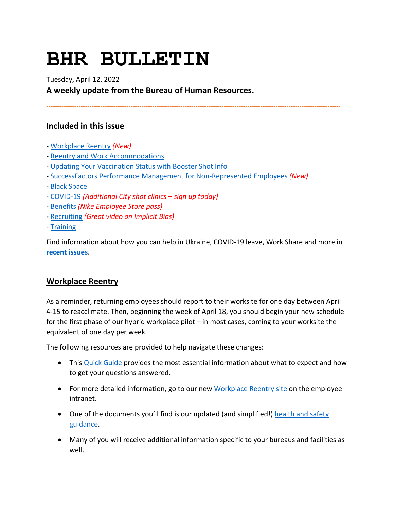# **BHR BULLETIN**

Tuesday, April 12, 2022

**A weekly update from the Bureau of Human Resources.**

**----------------------------------------------------------------------------------------------------------------------------------------**

# **Included in this issue**

- - [Workplace Reentry](#page-0-0) *(New)*
- - [Reentry and Work Accommodations](#page-1-0)
- - [Updating Your Vaccination Status with Booster Shot Info](#page-1-1)
- - [SuccessFactors Performance Management for Non-Represented Employees](#page-1-2) *(New)*
- - [Black Space](#page-2-0)
- - [COVID-19](#page-3-0) *(Additional City shot clinics sign up today)*
- - [Benefits](#page-6-0) *(Nike Employee Store pass)*
- - [Recruiting](#page-8-0) *(Great video on Implicit Bias)*
- - [Training](#page-9-0)

Find information about how you can help in Ukraine, COVID-19 leave, Work Share and more in **[recent issues](https://www.portlandoregon.gov/bhr/81102)**.

# <span id="page-0-0"></span>**Workplace Reentry**

As a reminder, returning employees should report to their worksite for one day between April 4-15 to reacclimate. Then, beginning the week of April 18, you should begin your new schedule for the first phase of our hybrid workplace pilot – in most cases, coming to your worksite the equivalent of one day per week.

The following resources are provided to help navigate these changes:

- This [Quick Guide](https://employees.portland.gov/sites/default/files/2022/reentry-flyer-for-city-facilities_04012022.pdf) provides the most essential information about what to expect and how to get your questions answered.
- For more detailed information, go to our new [Workplace Reentry site](https://employees.portland.gov/reentry) on the employee intranet.
- One of the documents you'll find is our updated (and simplified!) health and safety [guidance.](https://employees.portland.gov/sites/default/files/2022/city-health-and-safety-guidance-april-2022.pdf)
- Many of you will receive additional information specific to your bureaus and facilities as well.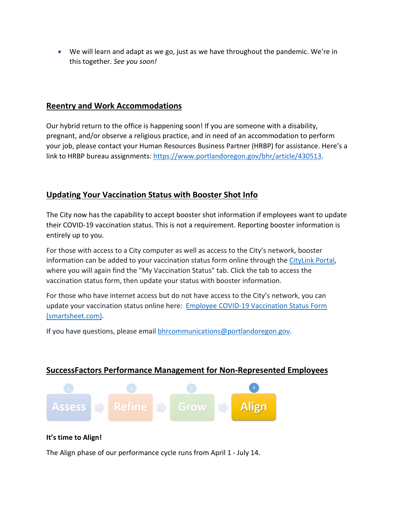• We will learn and adapt as we go, just as we have throughout the pandemic. We're in this together. *See you soon!*

# <span id="page-1-0"></span>**Reentry and Work Accommodations**

Our hybrid return to the office is happening soon! If you are someone with a disability, pregnant, and/or observe a religious practice, and in need of an accommodation to perform your job, please contact your Human Resources Business Partner (HRBP) for assistance. Here's a link to HRBP bureau assignments: [https://www.portlandoregon.gov/bhr/article/430513.](https://www.portlandoregon.gov/bhr/article/430513)

# <span id="page-1-1"></span>**Updating Your Vaccination Status with Booster Shot Info**

The City now has the capability to accept booster shot information if employees want to update their COVID-19 vaccination status. This is not a requirement. Reporting booster information is entirely up to you.

For those with access to a City computer as well as access to the City's network, booster information can be added to your vaccination status form online through th[e CityLink Portal,](https://www.portlandoregon.gov/employee/50542) where you will again find the "My Vaccination Status" tab. Click the tab to access the vaccination status form, then update your status with booster information.

For those who have internet access but do not have access to the City's network, you can update your vaccination status online here: [Employee COVID-19 Vaccination Status Form](https://app.smartsheet.com/b/form/1630264465a1445bae728de4615f96a7)  [\(smartsheet.com\).](https://app.smartsheet.com/b/form/1630264465a1445bae728de4615f96a7)

If you have questions, please email [bhrcommunications@portlandoregon.gov.](mailto:bhrcommunications@portlandoregon.gov)

# <span id="page-1-2"></span>**SuccessFactors Performance Management for Non-Represented Employees**



## **It's time to Align!**

The Align phase of our performance cycle runs from April 1 - July 14.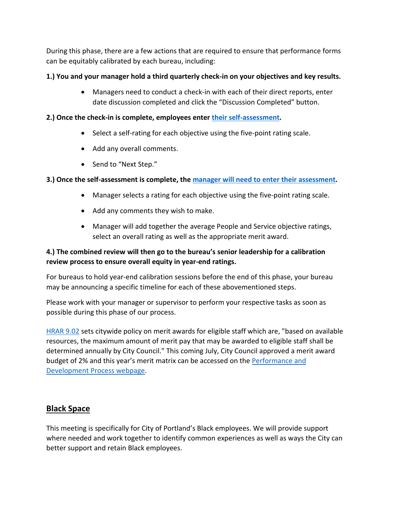During this phase, there are a few actions that are required to ensure that performance forms can be equitably calibrated by each bureau, including:

## **1.) You and your manager hold a third quarterly check-in on your objectives and key results.**

• Managers need to conduct a check-in with each of their direct reports, enter date discussion completed and click the "Discussion Completed" button.

## **2.) Once the check-in is complete, employees enter [their self-assessment.](https://www.youtube.com/watch?v=tNG9-r8GYZ0)**

- Select a self-rating for each objective using the five-point rating scale.
- Add any overall comments.
- Send to "Next Step."

# **3.) Once the self-assessment is complete, the [manager will need to enter their assessment.](https://www.youtube.com/watch?v=IGGClEgPQTU)**

- Manager selects a rating for each objective using the five-point rating scale.
- Add any comments they wish to make.
- Manager will add together the average People and Service objective ratings, select an overall rating as well as the appropriate merit award.

# **4.) The combined review will then go to the bureau's senior leadership for a calibration review process to ensure overall equity in year-end ratings.**

For bureaus to hold year-end calibration sessions before the end of this phase, your bureau may be announcing a specific timeline for each of these abovementioned steps.

Please work with your manager or supervisor to perform your respective tasks as soon as possible during this phase of our process.

[HRAR 9.02](https://www.portland.gov/sites/default/files/2020-06/9.02-performance-management_0.pdf) sets citywide policy on merit awards for eligible staff which are, "based on available resources, the maximum amount of merit pay that may be awarded to eligible staff shall be determined annually by City Council." This coming July, City Council approved a merit award budget of 2% and this year's merit matrix can be accessed on the [Performance and](https://www.portlandoregon.gov/bhr/article/799199)  [Development Process webpage.](https://www.portlandoregon.gov/bhr/article/799199)

# <span id="page-2-0"></span>**Black Space**

This meeting is specifically for City of Portland's Black employees. We will provide support where needed and work together to identify common experiences as well as ways the City can better support and retain Black employees.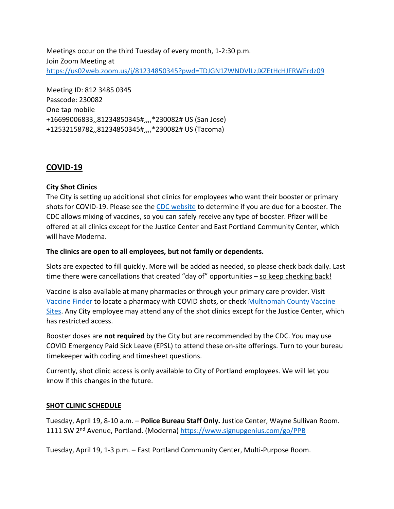Meetings occur on the third Tuesday of every month, 1-2:30 p.m. Join Zoom Meeting at <https://us02web.zoom.us/j/81234850345?pwd=TDJGN1ZWNDVlLzJXZEtHcHJFRWErdz09>

Meeting ID: 812 3485 0345 Passcode: 230082 One tap mobile +16699006833,,81234850345#,,,,\*230082# US (San Jose) +12532158782,,81234850345#,,,,\*230082# US (Tacoma)

# <span id="page-3-0"></span>**COVID-19**

## **City Shot Clinics**

The City is setting up additional shot clinics for employees who want their booster or primary shots for COVID-19. Please see the [CDC website](https://www.cdc.gov/coronavirus/2019-ncov/vaccines/stay-up-to-date.html) to determine if you are due for a booster. The CDC allows mixing of vaccines, so you can safely receive any type of booster. Pfizer will be offered at all clinics except for the Justice Center and East Portland Community Center, which will have Moderna.

## **The clinics are open to all employees, but not family or dependents.**

Slots are expected to fill quickly. More will be added as needed, so please check back daily. Last time there were cancellations that created "day of" opportunities – so keep checking back!

Vaccine is also available at many pharmacies or through your primary care provider. Visit [Vaccine Finder](https://www.vaccines.gov/) to locate a pharmacy with COVID shots, or check [Multnomah County Vaccine](https://www.multco.us/novel-coronavirus-covid-19/upcoming-covid-19-vaccination-clinics)  [Sites.](https://www.multco.us/novel-coronavirus-covid-19/upcoming-covid-19-vaccination-clinics) Any City employee may attend any of the shot clinics except for the Justice Center, which has restricted access.

Booster doses are **not required** by the City but are recommended by the CDC. You may use COVID Emergency Paid Sick Leave (EPSL) to attend these on-site offerings. Turn to your bureau timekeeper with coding and timesheet questions.

Currently, shot clinic access is only available to City of Portland employees. We will let you know if this changes in the future.

## **SHOT CLINIC SCHEDULE**

Tuesday, April 19, 8-10 a.m. – **Police Bureau Staff Only.** Justice Center, Wayne Sullivan Room. 1111 SW 2<sup>nd</sup> Avenue, Portland. (Moderna)<https://www.signupgenius.com/go/PPB>

Tuesday, April 19, 1-3 p.m. – East Portland Community Center, Multi-Purpose Room.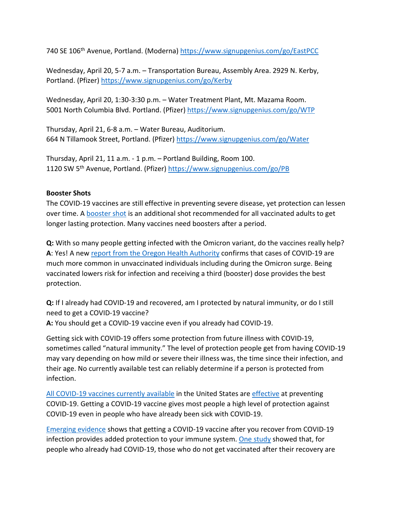740 SE 106th Avenue, Portland. (Moderna)<https://www.signupgenius.com/go/EastPCC>

Wednesday, April 20, 5-7 a.m. – Transportation Bureau, Assembly Area. 2929 N. Kerby, Portland. (Pfizer)<https://www.signupgenius.com/go/Kerby>

Wednesday, April 20, 1:30-3:30 p.m. – Water Treatment Plant, Mt. Mazama Room. 5001 North Columbia Blvd. Portland. (Pfizer)<https://www.signupgenius.com/go/WTP>

Thursday, April 21, 6-8 a.m. – Water Bureau, Auditorium. 664 N Tillamook Street, Portland. (Pfizer)<https://www.signupgenius.com/go/Water>

Thursday, April 21, 11 a.m. - 1 p.m. – Portland Building, Room 100. 1120 SW 5th Avenue, Portland. (Pfizer)<https://www.signupgenius.com/go/PB>

#### **Booster Shots**

The COVID-19 vaccines are still effective in preventing severe disease, yet protection can lessen over time. A [booster shot](https://www.cdc.gov/coronavirus/2019-ncov/vaccines/booster-shot.html) is an additional shot recommended for all vaccinated adults to get longer lasting protection. Many vaccines need boosters after a period.

**Q:** With so many people getting infected with the Omicron variant, do the vaccines really help? **A**: Yes! A new [report from the Oregon Health Authority](https://covidblog.oregon.gov/booster-shots-highlighted-in-new-breakthrough-case-report/?utm_medium=email&utm_source=govdelivery) confirms that cases of COVID-19 are much more common in unvaccinated individuals including during the Omicron surge. Being vaccinated lowers risk for infection and receiving a third (booster) dose provides the best protection.

**Q:** If I already had COVID-19 and recovered, am I protected by natural immunity, or do I still need to get a COVID-19 vaccine?

**A:** You should get a COVID-19 vaccine even if you already had COVID-19.

Getting sick with COVID-19 offers some protection from future illness with COVID-19, sometimes called "natural immunity." The level of protection people get from having COVID-19 may vary depending on how mild or severe their illness was, the time since their infection, and their age. No currently available test can reliably determine if a person is protected from infection.

[All COVID-19 vaccines currently available](https://www.cdc.gov/coronavirus/2019-ncov/vaccines/different-vaccines.html) in the United States ar[e effective](https://www.cdc.gov/coronavirus/2019-ncov/vaccines/effectiveness/index.html) at preventing COVID-19. Getting a COVID-19 vaccine gives most people a high level of protection against COVID-19 even in people who have already been sick with COVID-19.

[Emerging evidence](https://www.cdc.gov/coronavirus/2019-ncov/science/science-briefs/vaccine-induced-immunity.html#anchor_1635540493225) shows that getting a COVID-19 vaccine after you recover from COVID-19 infection provides added protection to your immune system. [One study](https://www.cdc.gov/mmwr/volumes/70/wr/mm7032e1.htm?s_cid=mm7032e1_e&ACSTrackingID=USCDC_921-DM63289&ACSTrackingLabel=MMWR%20Early%20Release%20-%20Vol.%2070%2C%20August%206%2C%202021&deliveryName=USCDC_921-DM63289) showed that, for people who already had COVID-19, those who do not get vaccinated after their recovery are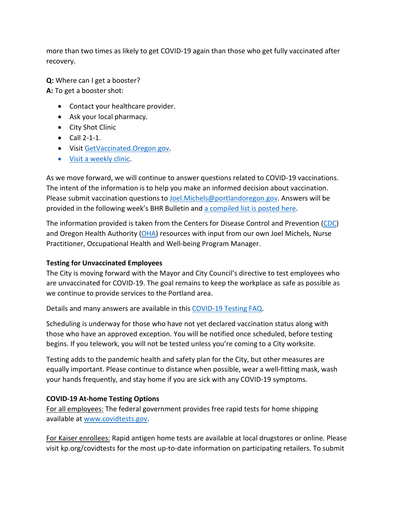more than two times as likely to get COVID-19 again than those who get fully vaccinated after recovery.

**Q:** Where can I get a booster? **A:** To get a booster shot:

- Contact your healthcare provider.
- Ask your local pharmacy.
- City Shot Clinic
- Call 2-1-1.
- Visi[t GetVaccinated.Oregon.gov.](https://getvaccinated.oregon.gov/#/)
- [Visit a weekly clinic.](https://www.multco.us/novel-coronavirus-covid-19/upcoming-covid-19-vaccination-clinics)

As we move forward, we will continue to answer questions related to COVID-19 vaccinations. The intent of the information is to help you make an informed decision about vaccination. Please submit vaccination questions to [Joel.Michels@portlandoregon.gov.](mailto:Joel.Michels@portlandoregon.gov) Answers will be provided in the following week's BHR Bulletin an[d a compiled list is posted here.](https://www.portlandoregon.gov/bhr/article/797240)

The information provided is taken from the Centers for Disease Control and Prevention [\(CDC\)](https://www.cdc.gov/coronavirus/2019-ncov/vaccines/index.html) and Oregon Health Authority [\(OHA\)](https://covidvaccine.oregon.gov/) resources with input from our own Joel Michels, Nurse Practitioner, Occupational Health and Well-being Program Manager.

# **Testing for Unvaccinated Employees**

The City is moving forward with the Mayor and City Council's directive to test employees who are unvaccinated for COVID-19. The goal remains to keep the workplace as safe as possible as we continue to provide services to the Portland area.

Details and many answers are available in this [COVID-19 Testing FAQ.](https://www.portland.gov/bhr/covid-testing)

Scheduling is underway for those who have not yet declared vaccination status along with those who have an approved exception. You will be notified once scheduled, before testing begins. If you telework, you will not be tested unless you're coming to a City worksite.

Testing adds to the pandemic health and safety plan for the City, but other measures are equally important. Please continue to distance when possible, wear a well-fitting mask, wash your hands frequently, and stay home if you are sick with any COVID-19 symptoms.

# **COVID-19 At-home Testing Options**

For all employees: The federal government provides free rapid tests for home shipping available at [www.covidtests.gov.](http://www.covidtests.gov/)

For Kaiser enrollees: Rapid antigen home tests are available at local drugstores or online. Please visit kp.org/covidtests for the most up-to-date information on participating retailers. To submit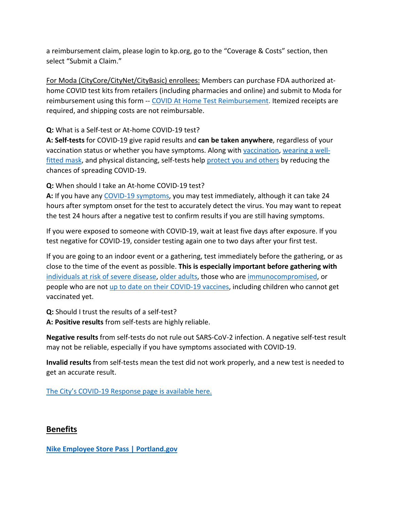a reimbursement claim, please login to kp.org, go to the "Coverage & Costs" section, then select "Submit a Claim."

For Moda (CityCore/CityNet/CityBasic) enrollees: Members can purchase FDA authorized athome COVID test kits from retailers (including pharmacies and online) and submit to Moda for reimbursement using this form -- [COVID At Home Test Reimbursement.](https://www.modahealth.com/-/media/modahealth/site/shared/forms/ModaHealth-OTC-COVID-19-AtHomeTest-Medical-MemberReimbursementForm.pdf) Itemized receipts are required, and shipping costs are not reimbursable.

**Q:** What is a Self-test or At-home COVID-19 test?

**A: Self-tests** for COVID-19 give rapid results and **can be taken anywhere**, regardless of your vaccination status or whether you have symptoms. Along with [vaccination,](https://www.cdc.gov/coronavirus/2019-ncov/vaccines/your-vaccination.html) [wearing a well](https://www.cdc.gov/coronavirus/2019-ncov/prevent-getting-sick/masks.html)[fitted mask,](https://www.cdc.gov/coronavirus/2019-ncov/prevent-getting-sick/masks.html) and physical distancing, self-tests help [protect you and others](https://www.cdc.gov/coronavirus/2019-ncov/prevent-getting-sick/prevention.html) by reducing the chances of spreading COVID-19.

**Q:** When should I take an At-home COVID-19 test?

**A:** If you have any [COVID-19 symptoms,](https://www.cdc.gov/coronavirus/2019-ncov/symptoms-testing/symptoms.html) you may test immediately, although it can take 24 hours after symptom onset for the test to accurately detect the virus. You may want to repeat the test 24 hours after a negative test to confirm results if you are still having symptoms.

If you were exposed to someone with COVID-19, wait at least five days after exposure. If you test negative for COVID-19, consider testing again one to two days after your first test.

If you are going to an indoor event or a gathering, test immediately before the gathering, or as close to the time of the event as possible. **This is especially important before gathering with** [individuals at risk of severe disease,](https://www.cdc.gov/coronavirus/2019-ncov/need-extra-precautions/people-with-medical-conditions.html) [older adults,](https://www.cdc.gov/aging/covid19/covid19-older-adults.html) those who are [immunocompromised,](https://www.cdc.gov/coronavirus/2019-ncov/need-extra-precautions/people-with-medical-conditions.html#MedicalConditionsAdults) or people who are not [up to date on their COVID-19 vaccines,](https://www.cdc.gov/coronavirus/2019-ncov/vaccines/stay-up-to-date.html) including children who cannot get vaccinated yet.

**Q:** Should I trust the results of a self-test?

**A: Positive results** from self-tests are highly reliable.

**Negative results** from self-tests do not rule out SARS-CoV-2 infection. A negative self-test result may not be reliable, especially if you have symptoms associated with COVID-19.

**Invalid results** from self-tests mean the test did not work properly, and a new test is needed to get an accurate result.

[The City's COVID-19 Response page is available here.](https://www.portlandoregon.gov/bhr/index.cfm?&c=81055)

# <span id="page-6-0"></span>**Benefits**

**[Nike Employee Store Pass | Portland.gov](https://www.portland.gov/bhr/benefit-offerings/news/2021/10/26/nike-employee-store-pass-0)**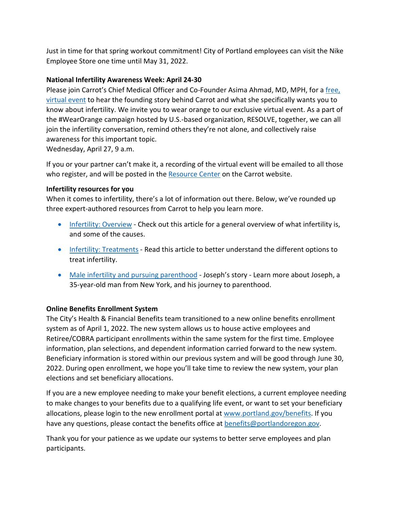Just in time for that spring workout commitment! City of Portland employees can visit the Nike Employee Store one time until May 31, 2022.

## **National Infertility Awareness Week: April 24-30**

Please join Carrot's Chief Medical Officer and Co-Founder Asima Ahmad, MD, MPH, for a [free,](https://zoom.us/webinar/register/3016480587110/WN_ILPepDHLTXqroZZ8uAvHkw)  [virtual event](https://zoom.us/webinar/register/3016480587110/WN_ILPepDHLTXqroZZ8uAvHkw) to hear the founding story behind Carrot and what she specifically wants you to know about infertility. We invite you to wear orange to our exclusive virtual event. As a part of the #WearOrange campaign hosted by U.S.-based organization, RESOLVE, together, we can all join the infertility conversation, remind others they're not alone, and collectively raise awareness for this important topic.

Wednesday, April 27, 9 a.m.

If you or your partner can't make it, a recording of the virtual event will be emailed to all those who register, and will be posted in the [Resource Center](https://zoom.us/webinar/register/5016480591516/WN_ILPepDHLTXqroZZ8uAvHkw) on the Carrot website.

#### **Infertility resources for you**

When it comes to infertility, there's a lot of information out there. Below, we've rounded up three expert-authored resources from Carrot to help you learn more.

- [Infertility: Overview](https://app.get-carrot.com/read/Fertility/Infertility:-Overview?utm_medium=email&utm_source=employ&utm_campaign=en_c_ee__apr22__email_&utm_content=infertaware&utm_term=)  Check out this article for a general overview of what infertility is, and some of the causes.
- [Infertility: Treatments](https://app.get-carrot.com/read/Fertility/Infertility:-Treatments?utm_medium=email&utm_source=employ&utm_campaign=en_c_ee__apr22__email_&utm_content=infertaware&utm_term=)  Read this article to better understand the different options to treat infertility.
- [Male infertility and pursuing parenthood](https://www.get-carrot.com/blog/baby-steps-josephs-story)  Joseph's story Learn more about Joseph, a 35-year-old man from New York, and his journey to parenthood.

#### **Online Benefits Enrollment System**

The City's Health & Financial Benefits team transitioned to a new online benefits enrollment system as of April 1, 2022. The new system allows us to house active employees and Retiree/COBRA participant enrollments within the same system for the first time. Employee information, plan selections, and dependent information carried forward to the new system. Beneficiary information is stored within our previous system and will be good through June 30, 2022. During open enrollment, we hope you'll take time to review the new system, your plan elections and set beneficiary allocations.

If you are a new employee needing to make your benefit elections, a current employee needing to make changes to your benefits due to a qualifying life event, or want to set your beneficiary allocations, please login to the new enrollment portal at [www.portland.gov/benefits.](https://www.portland.gov/benefits) If you have any questions, please contact the benefits office at [benefits@portlandoregon.gov.](mailto:benefits@portlandoregon.gov)

Thank you for your patience as we update our systems to better serve employees and plan participants.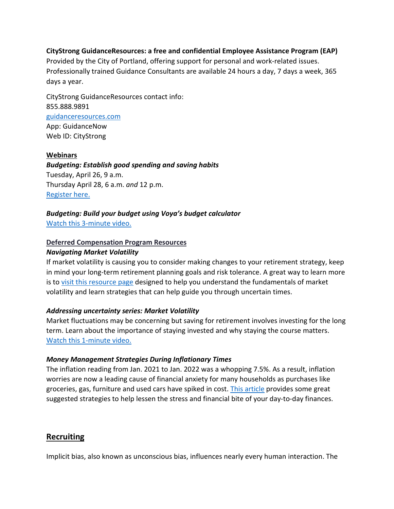#### **CityStrong GuidanceResources: a free and confidential Employee Assistance Program (EAP)**

Provided by the City of Portland, offering support for personal and work-related issues. Professionally trained Guidance Consultants are available 24 hours a day, 7 days a week, 365 days a year.

CityStrong GuidanceResources contact info: 855.888.9891 [guidanceresources.com](https://www.guidanceresources.com/groWeb/login/login.xhtml) App: GuidanceNow Web ID: CityStrong

#### **Webinars**

*Budgeting: Establish good spending and saving habits* Tuesday, April 26, 9 a.m. Thursday April 28, 6 a.m. *and* 12 p.m. [Register here.](https://voyafa.zoom.us/webinar/register/WN_jalwtC9vQGa3Bf00BMP-Pw)

#### *Budgeting: Build your budget using Voya's budget calculator*

[Watch this 3-minute video.](https://www.voya.com/page/on-demand/budget-calculator)

#### **Deferred Compensation Program Resources**

#### *Navigating Market Volatility*

If market volatility is causing you to consider making changes to your retirement strategy, keep in mind your long-term retirement planning goals and risk tolerance. A great way to learn more is to [visit this resource page](https://www.voya.com/page/navigating-market-volatility) designed to help you understand the fundamentals of market volatility and learn strategies that can help guide you through uncertain times.

#### *Addressing uncertainty series: Market Volatility*

Market fluctuations may be concerning but saving for retirement involves investing for the long term. Learn about the importance of staying invested and why staying the course matters. [Watch this 1-minute video.](https://www.voya.com/page/on-demand/addressing-uncertainty-series-market-volatility)

#### *Money Management Strategies During Inflationary Times*

The inflation reading from Jan. 2021 to Jan. 2022 was a whopping 7.5%. As a result, inflation worries are now a leading cause of financial anxiety for many households as purchases like groceries, gas, furniture and used cars have spiked in cost. [This article](https://blog.voya.com/financial-decisions/money-management-strategies-during-inflationary-times-nc) provides some great suggested strategies to help lessen the stress and financial bite of your day-to-day finances.

## <span id="page-8-0"></span>**Recruiting**

Implicit bias, also known as unconscious bias, influences nearly every human interaction. The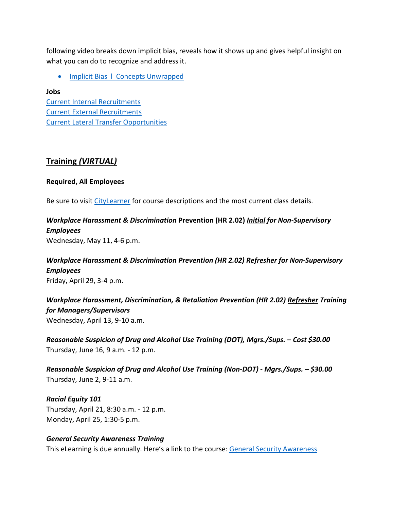following video breaks down implicit bias, reveals how it shows up and gives helpful insight on what you can do to recognize and address it.

• Implicit Bias I Concepts Unwrapped

**Jobs** [Current Internal Recruitments](https://www.governmentjobs.com/careers/portlandor/promotionaljobs) [Current External Recruitments](https://www.governmentjobs.com/careers/portlandor?) [Current Lateral Transfer Opportunities](https://www.governmentjobs.com/careers/portlandor/transferjobs)

# <span id="page-9-0"></span>**Training** *(VIRTUAL)*

### **Required, All Employees**

Be sure to visit [CityLearner](https://www.portlandoregon.gov/sf) for course descriptions and the most current class details.

*Workplace Harassment & Discrimination* **Prevention (HR 2.02)** *Initial for Non-Supervisory Employees* Wednesday, May 11, 4-6 p.m.

## *Workplace Harassment & Discrimination Prevention (HR 2.02) Refresher for Non-Supervisory Employees* Friday, April 29, 3-4 p.m.

*Workplace Harassment, Discrimination, & Retaliation Prevention (HR 2.02) Refresher Training for Managers/Supervisors*  Wednesday, April 13, 9-10 a.m.

*Reasonable Suspicion of Drug and Alcohol Use Training (DOT), Mgrs./Sups. – Cost \$30.00* Thursday, June 16, 9 a.m. - 12 p.m.

*Reasonable Suspicion of Drug and Alcohol Use Training (Non-DOT) - Mgrs./Sups. – \$30.00* Thursday, June 2, 9-11 a.m.

*Racial Equity 101* Thursday, April 21, 8:30 a.m. - 12 p.m. Monday, April 25, 1:30-5 p.m.

## *General Security Awareness Training*

This eLearning is due annually. Here's a link to the course: [General Security Awareness](https://performancemanager4.successfactors.com/sf/learning?destUrl=https%3a%2f%2fcityofport%2eplateau%2ecom%2flearning%2fuser%2fdeeplink%5fredirect%2ejsp%3flinkId%3dITEM%5fDETAILS%26componentID%3dLMS61011035%26componentTypeID%3dELRN%26revisionDate%3d1638978720000%26fromSF%3dY&company=cityofport)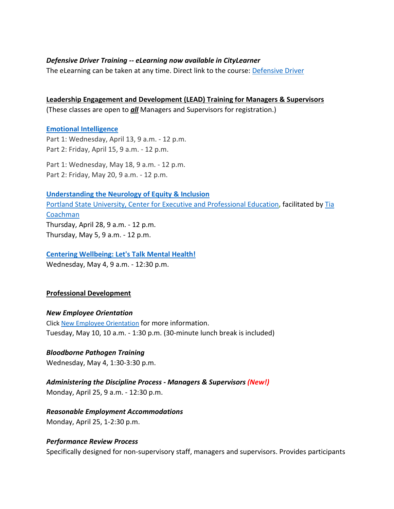#### *Defensive Driver Training -- eLearning now available in CityLearner*

The eLearning can be taken at any time. Direct link to the course: [Defensive Driver](https://cityofport.plateau.com/learning/user/common/viewItemDetails.do?OWASP_CSRFTOKEN=5M1O-5ANN-0TLU-3QOL-OISM-MYFY-1V3A-L7M9&componentID=LMS61011177&componentTypeID=ELRN&fromSF=Y&revisionDate=1607576040000&menuGroup=Learning&menuItem=Cur&fromDeepLink=true&hideItemDetailsBackLink=true)

**Leadership Engagement and Development (LEAD) Training for Managers & Supervisors** (These classes are open to *all* Managers and Supervisors for registration.)

#### **[Emotional Intelligence](https://performancemanager4.successfactors.com/sf/learning?destUrl=https%3a%2f%2fcityofport%2eplateau%2ecom%2flearning%2fuser%2fdeeplink%5fredirect%2ejsp%3flinkId%3dITEM%5fDETAILS%26componentID%3d29034%26componentTypeID%3dILT%26revisionDate%3d1621278240000%26fromSF%3dY&company=cityofport)**

Part 1: Wednesday, April 13, 9 a.m. - 12 p.m. Part 2: Friday, April 15, 9 a.m. - 12 p.m.

Part 1: Wednesday, May 18, 9 a.m. - 12 p.m. Part 2: Friday, May 20, 9 a.m. - 12 p.m.

**[Understanding the Neurology of Equity & Inclusion](https://performancemanager4.successfactors.com/sf/learning?destUrl=https%3a%2f%2fcityofport%2eplateau%2ecom%2flearning%2fuser%2fdeeplink%5fredirect%2ejsp%3flinkId%3dITEM%5fDETAILS%26componentID%3d39004%26componentTypeID%3dILT%26revisionDate%3d1638564360000%26fromSF%3dY&company=cityofport)** [Portland State University, Center for Executive and Professional Education](https://www.pdx.edu/professional-education/)**,** facilitated by [Tia](https://www.pdx.edu/professional-education/profile/tia-coachman)  [Coachman](https://www.pdx.edu/professional-education/profile/tia-coachman)  Thursday, April 28, 9 a.m. - 12 p.m. Thursday, May 5, 9 a.m. - 12 p.m.

# **[Centering Wellbeing: Let's Talk Mental Health!](https://performancemanager4.successfactors.com/sf/learning?destUrl=https%3a%2f%2fcityofport%2eplateau%2ecom%2flearning%2fuser%2fdeeplink%5fredirect%2ejsp%3flinkId%3dITEM%5fDETAILS%26componentID%3d30004%26componentTypeID%3dILT%26revisionDate%3d1625183220000%26fromSF%3dY&company=cityofport)**

Wednesday, May 4, 9 a.m. - 12:30 p.m.

#### **Professional Development**

#### *New Employee Orientation*

Click [New Employee Orientation](https://www.portlandoregon.gov/bhr/77721) for more information. Tuesday, May 10, 10 a.m. - 1:30 p.m. (30-minute lunch break is included)

#### *Bloodborne Pathogen Training*

Wednesday, May 4, 1:30-3:30 p.m.

*Administering the Discipline Process - Managers & Supervisors (New!)*

Monday, April 25, 9 a.m. - 12:30 p.m.

## *Reasonable Employment Accommodations*

Monday, April 25, 1-2:30 p.m.

#### *Performance Review Process*

Specifically designed for non-supervisory staff, managers and supervisors. Provides participants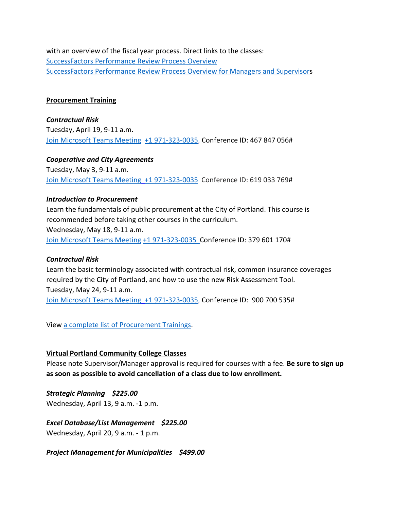with an overview of the fiscal year process. Direct links to the classes: [SuccessFactors Performance Review Process Overview](https://cityofport.plateau.com/learning/user/common/viewItemDetails.do?OWASP_CSRFTOKEN=DU90-LX7U-MJFA-R3RR-74UK-2I97-WO9L-P1RW&componentID=29037&componentTypeID=ELRN&fromSF=Y&revisionDate=1621295700000&menuGroup=Learning&menuItem=Cur&fromDeepLink=true&hideItemDetailsBackLink=true)  [SuccessFactors Performance Review Process Overview for Managers and Supervisors](https://sts.portlandoregon.gov/adfs/ls/?SAMLRequest=hZJPb9swDMW%2FisC7bUVL61SIU2QLigXYH7fxethlUGU6FSBLnig367ev7aRbd0mv0iPf449cXv9pLXvCQMa7AmYpB4ZO%2B9q4fQE%2FqptkAderJanWik6u%2B%2Fjo7vB3jxTZUOhIHn8K6IOTXpEh6VSLJKOWu%2FXXL1KkXHbBR6%2B9BbYZCo1TcTJ7jLEjmWUUKe18iFa52gfce5fu%2FVOm6oYySxmwGx80Tt4FNMoSAttuCvg1V3n90OirZJZ%2FwGTeIE%2BuLgRPxEWuZwKV5vnlICXqcesoKhcLEFyIhItELKpZLvlc8stULPhPYOUp5UfjjtOfG%2BnhKCL5uarKpPy%2Bq4Ddv1IcBHBiJif38BbW%2BcaKCMPIB1avfA6HQ0q91kjUKB19oFT7NtMmPvtmBLfM3nr93da3ofl2U3pr9DNbW%2BsPnwKqiAXE0OOEtVXxfJzxxdRJM0llN05IEV0EtivH%2Fre9sqYxGP6t8924kK1Oif%2B%2FqNUL&RelayState=%2Fsf%2Flearning%3FdestUrl%3Dhttps%253a%252f%252fcityofport%252eplateau%252ecom%252flearning%252fuser%252fdeeplink%255fredirect%252ejsp%253flinkId%253dITEM%255fDETAILS%2526componentID%253d29040%2526componentTypeID%253dELRN%2526revisionDate%253d1621298220000%2526fromSF%253dY&SigAlg=http%3A%2F%2Fwww.w3.org%2F2000%2F09%2Fxmldsig%23rsa-sha1&Signature=Nh05m6BdIM%2FxvyYo0XGgvYRymZoYM8duNho3YqhMrhB7dt0AJszl8HP9tMyr1Rm970uBY8qN1OK2VQ1DitXtL9X5kz06hi1lh1qU%2BNQBVJv%2F2mbWdoqb58FMYKiqv97cu9yMld0iUdw6Mkp%2FB1rVy%2F6nxhm7IUmo9suGPepTh6k%3D)

#### **Procurement Training**

*Contractual Risk* Tuesday, April 19, 9-11 a.m. [Join Microsoft Teams Meeting](https://teams.microsoft.com/l/meetup-join/19%3ameeting_ZjhkNmE5Y2EtODgyZS00NGQ4LTkxZGEtMDY1ZTE4YzdlYmZh%40thread.v2/0?context=%7b%22Tid%22%3a%22636d7808-73c9-41a7-97aa-8c4733642141%22%2c%22Oid%22%3a%2286b2ae6e-2fe6-44ca-9974-4b60b2e2cd99%22%7d) [+1 971-323-0035,](tel:+19713230035,,467847056) Conference ID: 467 847 056#

*Cooperative and City Agreements*  Tuesday, May 3, 9-11 a.m. [Join Microsoft Teams Meeting](https://teams.microsoft.com/l/meetup-join/19%3ameeting_YTUwYjg0ODEtMTZiMS00ZmRlLThjODctZDE5NDdkNzg1ZTdh%40thread.v2/0?context=%7b%22Tid%22%3a%22636d7808-73c9-41a7-97aa-8c4733642141%22%2c%22Oid%22%3a%2286b2ae6e-2fe6-44ca-9974-4b60b2e2cd99%22%7d) [+1 971-323-0035](tel:+19713230035,,619033769) Conference ID: 619 033 769#

#### *Introduction to Procurement*

Learn the fundamentals of public procurement at the City of Portland. This course is recommended before taking other courses in the curriculum. Wednesday, May 18, 9-11 a.m. [Join Microsoft Teams Meeting](https://teams.microsoft.com/l/meetup-join/19%3ameeting_OWI3OGJlZDAtYTlhYS00ZWQ0LTkwNWYtOTM5YmZlYzI1MmIx%40thread.v2/0?context=%7b%22Tid%22%3a%22636d7808-73c9-41a7-97aa-8c4733642141%22%2c%22Oid%22%3a%2286b2ae6e-2fe6-44ca-9974-4b60b2e2cd99%22%7d) [+1 971-323-0035 C](tel:+19713230035,,379601170)onference ID: 379 601 170#

#### *Contractual Risk*

Learn the basic terminology associated with contractual risk, common insurance coverages required by the City of Portland, and how to use the new Risk Assessment Tool. Tuesday, May 24, 9-11 a.m. [Join Microsoft Teams Meeting](https://teams.microsoft.com/l/meetup-join/19%3ameeting_ZjhkNmE5Y2EtODgyZS00NGQ4LTkxZGEtMDY1ZTE4YzdlYmZh%40thread.v2/0?context=%7b%22Tid%22%3a%22636d7808-73c9-41a7-97aa-8c4733642141%22%2c%22Oid%22%3a%2286b2ae6e-2fe6-44ca-9974-4b60b2e2cd99%22%7d) [+1 971-323-0035,](tel:+19713230035,,900700535) Conference ID: 900 700 535#

View [a complete list of Procurement Trainings.](https://www.portlandoregon.gov/brfs/article/780678)

#### **Virtual Portland Community College Classes**

Please note Supervisor/Manager approval is required for courses with a fee. **Be sure to sign up as soon as possible to avoid cancellation of a class due to low enrollment.**

*Strategic Planning \$225.00* Wednesday, April 13, 9 a.m. -1 p.m.

*Excel Database/List Management \$225.00* Wednesday, April 20, 9 a.m. - 1 p.m.

*Project Management for Municipalities \$499.00*